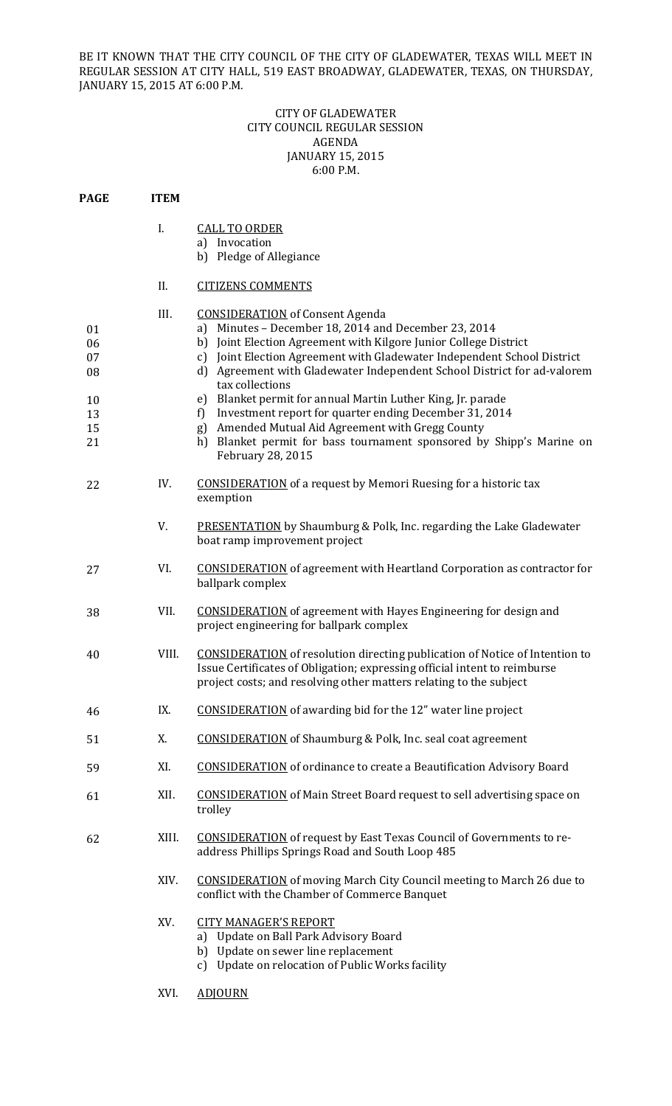BE IT KNOWN THAT THE CITY COUNCIL OF THE CITY OF GLADEWATER, TEXAS WILL MEET IN REGULAR SESSION AT CITY HALL, 519 EAST BROADWAY, GLADEWATER, TEXAS, ON THURSDAY, JANUARY 15, 2015 AT 6:00 P.M.

## CITY OF GLADEWATER **CITY COUNCIL REGULAR SESSION** AGENDA JANUARY 15, 2015 6:00 P.M.

| <b>PAGE</b>                                  | <b>ITEM</b> |                                                                                                                                                                                                                                                                                                                                                                                                                                                                                                                                                                                                                                             |
|----------------------------------------------|-------------|---------------------------------------------------------------------------------------------------------------------------------------------------------------------------------------------------------------------------------------------------------------------------------------------------------------------------------------------------------------------------------------------------------------------------------------------------------------------------------------------------------------------------------------------------------------------------------------------------------------------------------------------|
|                                              | I.          | <b>CALL TO ORDER</b><br>a) Invocation<br>b) Pledge of Allegiance                                                                                                                                                                                                                                                                                                                                                                                                                                                                                                                                                                            |
|                                              | II.         | <b>CITIZENS COMMENTS</b>                                                                                                                                                                                                                                                                                                                                                                                                                                                                                                                                                                                                                    |
| 01<br>06<br>07<br>08<br>10<br>13<br>15<br>21 | III.        | <b>CONSIDERATION</b> of Consent Agenda<br>a) Minutes - December 18, 2014 and December 23, 2014<br>Joint Election Agreement with Kilgore Junior College District<br>b)<br>Joint Election Agreement with Gladewater Independent School District<br>c)<br>d) Agreement with Gladewater Independent School District for ad-valorem<br>tax collections<br>Blanket permit for annual Martin Luther King, Jr. parade<br>e)<br>Investment report for quarter ending December 31, 2014<br>f)<br>Amended Mutual Aid Agreement with Gregg County<br>g)<br>Blanket permit for bass tournament sponsored by Shipp's Marine on<br>h)<br>February 28, 2015 |
| 22                                           | IV.         | <b>CONSIDERATION</b> of a request by Memori Ruesing for a historic tax<br>exemption                                                                                                                                                                                                                                                                                                                                                                                                                                                                                                                                                         |
|                                              | V.          | <b>PRESENTATION</b> by Shaumburg & Polk, Inc. regarding the Lake Gladewater<br>boat ramp improvement project                                                                                                                                                                                                                                                                                                                                                                                                                                                                                                                                |
| 27                                           | VI.         | <b>CONSIDERATION</b> of agreement with Heartland Corporation as contractor for<br>ballpark complex                                                                                                                                                                                                                                                                                                                                                                                                                                                                                                                                          |
| 38                                           | VII.        | <b>CONSIDERATION</b> of agreement with Hayes Engineering for design and<br>project engineering for ballpark complex                                                                                                                                                                                                                                                                                                                                                                                                                                                                                                                         |
| 40                                           | VIII.       | <b>CONSIDERATION</b> of resolution directing publication of Notice of Intention to<br>Issue Certificates of Obligation; expressing official intent to reimburse<br>project costs; and resolving other matters relating to the subject                                                                                                                                                                                                                                                                                                                                                                                                       |
| 46                                           | IX.         | <b>CONSIDERATION</b> of awarding bid for the 12" water line project                                                                                                                                                                                                                                                                                                                                                                                                                                                                                                                                                                         |
| 51                                           | Х.          | <b>CONSIDERATION</b> of Shaumburg & Polk, Inc. seal coat agreement                                                                                                                                                                                                                                                                                                                                                                                                                                                                                                                                                                          |
| 59                                           | XI.         | <b>CONSIDERATION</b> of ordinance to create a Beautification Advisory Board                                                                                                                                                                                                                                                                                                                                                                                                                                                                                                                                                                 |
| 61                                           | XII.        | <b>CONSIDERATION</b> of Main Street Board request to sell advertising space on<br>trolley                                                                                                                                                                                                                                                                                                                                                                                                                                                                                                                                                   |
| 62                                           | XIII.       | <b>CONSIDERATION</b> of request by East Texas Council of Governments to re-<br>address Phillips Springs Road and South Loop 485                                                                                                                                                                                                                                                                                                                                                                                                                                                                                                             |
|                                              | XIV.        | <b>CONSIDERATION</b> of moving March City Council meeting to March 26 due to<br>conflict with the Chamber of Commerce Banquet                                                                                                                                                                                                                                                                                                                                                                                                                                                                                                               |
|                                              | XV.         | <b>CITY MANAGER'S REPORT</b><br>a) Update on Ball Park Advisory Board<br>b) Update on sewer line replacement<br>c) Update on relocation of Public Works facility                                                                                                                                                                                                                                                                                                                                                                                                                                                                            |
|                                              | XVI.        | <b>ADJOURN</b>                                                                                                                                                                                                                                                                                                                                                                                                                                                                                                                                                                                                                              |